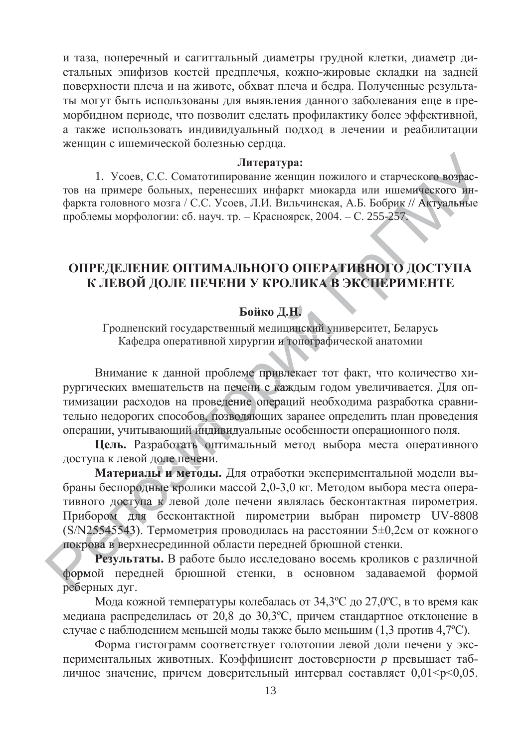и таза, поперечный и сагиттальный диаметры грудной клетки, диаметр дистальных эпифизов костей предплечья, кожно-жировые складки на задней поверхности плеча и на животе, обхват плеча и бедра. Полученные результаты могут быть использованы для выявления данного заболевания еще в преморбилном периоле, что позволит слелать профилактику более эффективной, а также использовать индивидуальный подход в лечении и реабилитации женшин с ишемической болезнью сердца.

### **Литература:**

1. Усоев, С.С. Соматотипирование женщин пожилого и старческого возрас-1. Усоев, С.С. Соматотипирование женщин пожилого и старческого возрас-<br>тов на примере больных, перенесших инфаркт миокарда или ишемического инфаркта головного мозга / С.С. Усоев, Л.И. Вильчинская, А.Б. Бобрик // Актуальные проблемы морфологии: сб. науч. тр. – Красноярск, 2004. – С. 255-257.<br>
ОНРЕ НЕ ПЕШИЕ ОНТИМА III НОГО ОНЕРА ТИРИОГО ИС да или ишемического<br>А.Б. Бобрик // Актуал<br>- С. 255-257.<br>**ИВНОГО ДОСТУ** прческого возрас-<br>шемического ин-<br>ик // Актуальные<br>57. альны

## ОПРЕДЕЛЕНИЕ ОПТИМАЛЬНОГО ОПЕРАТИВНОГО ДОСТУПА К ЛЕВОЙ ДОЛЕ ПЕЧЕНИ У КРОЛИКА В ЭКСПЕРИМЕНТЕ **PATUBH<br>A B ƏKCI**<br> **UPATHBHOFO**<br> **A B ЭКСПЕРИ КСПЕРИ**

# Бойко Д.Н.

Гродненский государственный медицинский университет, Беларусь Кафедра оперативной хирургии и топографической анатомии<br>мание к ланной проблеме привлекает тот факт, что коли **І.Н.**<br>цинский у<br>гопограф цинский ун

Внимание к данной проблеме привлекает тот факт, что количество хирургических вмешательств на печени с каждым годом увеличивается. Для оптимизации расходов на проведение операций необходима разработка сравнирургических вмешательств на печени с каждым годом увеличивается. Для оп-<br>тимизации расходов на проведение операций необходима разработка сравни-<br>тельно недорогих способов, позволяющих заранее определить план проведения операции, учитывающий индивидуальные особенности операционного поля. -<br>Ов, позво<br>Мндивид<br>- Оптим индивид ме привле<br>ени с каж<br>ие операці ни с кажд

Цель. Разработать оптимальный метод выбора места оперативного операции, учитывающии инди<br>**Цель.** Разработать оп<br>доступа к левой доле печени.<br>**Материалы и методы**<br>браны беспородные кролики

Материалы и методы. Для отработки экспериментальной модели выбраны беспородные кролики массой 2,0-3,0 кг. Методом выбора места оперативного доступа к левой доле печени являлась бесконтактная пирометрия. Прибором для бесконтактной пирометрии выбран пирометр UV-8808 (S/N25545543). Термометрия проводилась на расстоянии 5±0,2см от кожного N255455<br>poва в верова<br>**Peзул** крова в ве доступ<br>эм для<br>45543). ом для б риалы и<br>родные<br>тупа к ородные кро

покрова в верхнесрединной области передней брюшной стенки.<br>**Результаты.** В работе было исследовано восемь кролико<br>формой передней брюшной стенки, в основном задаваю<br>реберных дуг. Результаты. В работе было исследовано восемь кроликов с различной формой передней брюшной стенки, в основном задаваемой формой реберных дуг.

Мода кожной температуры колебалась от 34,3°С до 27,0°С, в то время как медиана распределилась от 20,8 до 30,3°С, причем стандартное отклонение в случае с наблюдением меньшей моды также было меньшим (1,3 против 4,7°С).

Форма гистограмм соответствует голотопии левой доли печени у экспериментальных животных. Коэффициент достоверности р превышает табличное значение, причем доверительный интервал составляет 0,01<p<0,05.